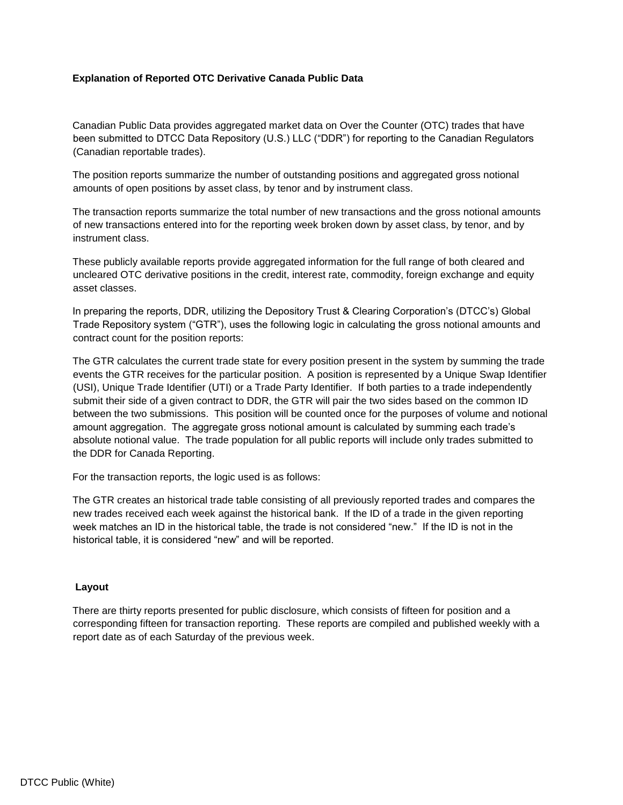# **Explanation of Reported OTC Derivative Canada Public Data**

Canadian Public Data provides aggregated market data on Over the Counter (OTC) trades that have been submitted to DTCC Data Repository (U.S.) LLC ("DDR") for reporting to the Canadian Regulators (Canadian reportable trades).

The position reports summarize the number of outstanding positions and aggregated gross notional amounts of open positions by asset class, by tenor and by instrument class.

The transaction reports summarize the total number of new transactions and the gross notional amounts of new transactions entered into for the reporting week broken down by asset class, by tenor, and by instrument class.

These publicly available reports provide aggregated information for the full range of both cleared and uncleared OTC derivative positions in the credit, interest rate, commodity, foreign exchange and equity asset classes.

In preparing the reports, DDR, utilizing the Depository Trust & Clearing Corporation's (DTCC's) Global Trade Repository system ("GTR"), uses the following logic in calculating the gross notional amounts and contract count for the position reports:

The GTR calculates the current trade state for every position present in the system by summing the trade events the GTR receives for the particular position. A position is represented by a Unique Swap Identifier (USI), Unique Trade Identifier (UTI) or a Trade Party Identifier. If both parties to a trade independently submit their side of a given contract to DDR, the GTR will pair the two sides based on the common ID between the two submissions. This position will be counted once for the purposes of volume and notional amount aggregation. The aggregate gross notional amount is calculated by summing each trade's absolute notional value. The trade population for all public reports will include only trades submitted to the DDR for Canada Reporting.

For the transaction reports, the logic used is as follows:

The GTR creates an historical trade table consisting of all previously reported trades and compares the new trades received each week against the historical bank. If the ID of a trade in the given reporting week matches an ID in the historical table, the trade is not considered "new." If the ID is not in the historical table, it is considered "new" and will be reported.

## **Layout**

There are thirty reports presented for public disclosure, which consists of fifteen for position and a corresponding fifteen for transaction reporting. These reports are compiled and published weekly with a report date as of each Saturday of the previous week.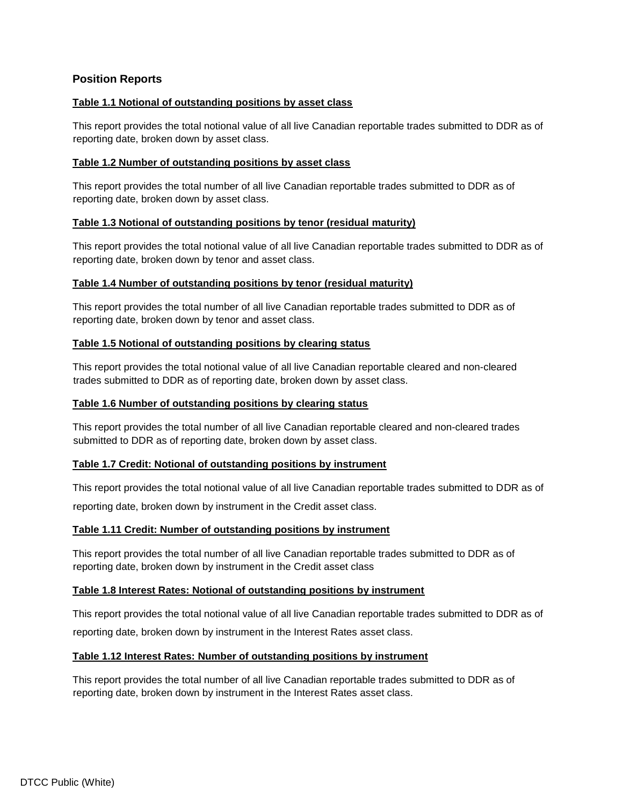# **Position Reports**

# **Table 1.1 Notional of outstanding positions by asset class**

This report provides the total notional value of all live Canadian reportable trades submitted to DDR as of reporting date, broken down by asset class.

# **Table 1.2 Number of outstanding positions by asset class**

This report provides the total number of all live Canadian reportable trades submitted to DDR as of reporting date, broken down by asset class.

# **Table 1.3 Notional of outstanding positions by tenor (residual maturity)**

This report provides the total notional value of all live Canadian reportable trades submitted to DDR as of reporting date, broken down by tenor and asset class.

# **Table 1.4 Number of outstanding positions by tenor (residual maturity)**

This report provides the total number of all live Canadian reportable trades submitted to DDR as of reporting date, broken down by tenor and asset class.

# **Table 1.5 Notional of outstanding positions by clearing status**

This report provides the total notional value of all live Canadian reportable cleared and non-cleared trades submitted to DDR as of reporting date, broken down by asset class.

## **Table 1.6 Number of outstanding positions by clearing status**

This report provides the total number of all live Canadian reportable cleared and non-cleared trades submitted to DDR as of reporting date, broken down by asset class.

## **Table 1.7 Credit: Notional of outstanding positions by instrument**

This report provides the total notional value of all live Canadian reportable trades submitted to DDR as of reporting date, broken down by instrument in the Credit asset class.

# **Table 1.11 Credit: Number of outstanding positions by instrument**

This report provides the total number of all live Canadian reportable trades submitted to DDR as of reporting date, broken down by instrument in the Credit asset class

## **Table 1.8 Interest Rates: Notional of outstanding positions by instrument**

This report provides the total notional value of all live Canadian reportable trades submitted to DDR as of reporting date, broken down by instrument in the Interest Rates asset class.

## **Table 1.12 Interest Rates: Number of outstanding positions by instrument**

This report provides the total number of all live Canadian reportable trades submitted to DDR as of reporting date, broken down by instrument in the Interest Rates asset class.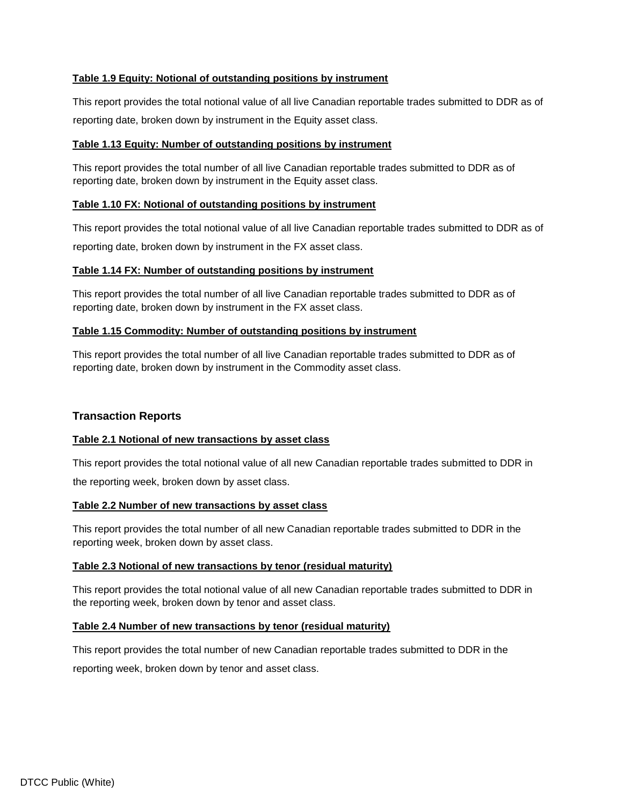# **Table 1.9 Equity: Notional of outstanding positions by instrument**

This report provides the total notional value of all live Canadian reportable trades submitted to DDR as of reporting date, broken down by instrument in the Equity asset class.

# **Table 1.13 Equity: Number of outstanding positions by instrument**

This report provides the total number of all live Canadian reportable trades submitted to DDR as of reporting date, broken down by instrument in the Equity asset class.

# **Table 1.10 FX: Notional of outstanding positions by instrument**

This report provides the total notional value of all live Canadian reportable trades submitted to DDR as of reporting date, broken down by instrument in the FX asset class.

# **Table 1.14 FX: Number of outstanding positions by instrument**

This report provides the total number of all live Canadian reportable trades submitted to DDR as of reporting date, broken down by instrument in the FX asset class.

# **Table 1.15 Commodity: Number of outstanding positions by instrument**

This report provides the total number of all live Canadian reportable trades submitted to DDR as of reporting date, broken down by instrument in the Commodity asset class.

# **Transaction Reports**

## **Table 2.1 Notional of new transactions by asset class**

This report provides the total notional value of all new Canadian reportable trades submitted to DDR in

the reporting week, broken down by asset class.

## **Table 2.2 Number of new transactions by asset class**

This report provides the total number of all new Canadian reportable trades submitted to DDR in the reporting week, broken down by asset class.

## **Table 2.3 Notional of new transactions by tenor (residual maturity)**

This report provides the total notional value of all new Canadian reportable trades submitted to DDR in the reporting week, broken down by tenor and asset class.

## **Table 2.4 Number of new transactions by tenor (residual maturity)**

This report provides the total number of new Canadian reportable trades submitted to DDR in the

reporting week, broken down by tenor and asset class.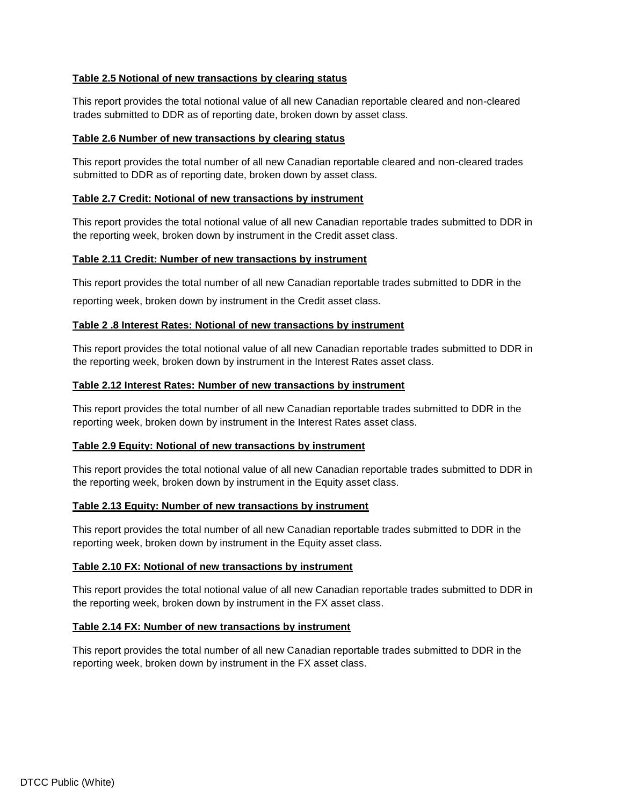# **Table 2.5 Notional of new transactions by clearing status**

This report provides the total notional value of all new Canadian reportable cleared and non-cleared trades submitted to DDR as of reporting date, broken down by asset class.

## **Table 2.6 Number of new transactions by clearing status**

This report provides the total number of all new Canadian reportable cleared and non-cleared trades submitted to DDR as of reporting date, broken down by asset class.

#### **Table 2.7 Credit: Notional of new transactions by instrument**

This report provides the total notional value of all new Canadian reportable trades submitted to DDR in the reporting week, broken down by instrument in the Credit asset class.

#### **Table 2.11 Credit: Number of new transactions by instrument**

This report provides the total number of all new Canadian reportable trades submitted to DDR in the

reporting week, broken down by instrument in the Credit asset class.

#### **Table 2 .8 Interest Rates: Notional of new transactions by instrument**

This report provides the total notional value of all new Canadian reportable trades submitted to DDR in the reporting week, broken down by instrument in the Interest Rates asset class.

# **Table 2.12 Interest Rates: Number of new transactions by instrument**

This report provides the total number of all new Canadian reportable trades submitted to DDR in the reporting week, broken down by instrument in the Interest Rates asset class.

## **Table 2.9 Equity: Notional of new transactions by instrument**

This report provides the total notional value of all new Canadian reportable trades submitted to DDR in the reporting week, broken down by instrument in the Equity asset class.

## **Table 2.13 Equity: Number of new transactions by instrument**

This report provides the total number of all new Canadian reportable trades submitted to DDR in the reporting week, broken down by instrument in the Equity asset class.

## **Table 2.10 FX: Notional of new transactions by instrument**

This report provides the total notional value of all new Canadian reportable trades submitted to DDR in the reporting week, broken down by instrument in the FX asset class.

## **Table 2.14 FX: Number of new transactions by instrument**

This report provides the total number of all new Canadian reportable trades submitted to DDR in the reporting week, broken down by instrument in the FX asset class.